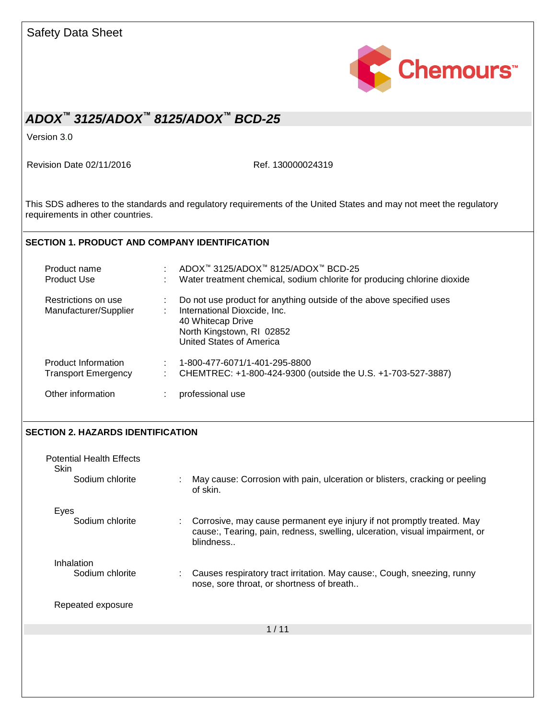|                                                   | Chemours <sup>*</sup>                                                                                                                                                                    |  |  |
|---------------------------------------------------|------------------------------------------------------------------------------------------------------------------------------------------------------------------------------------------|--|--|
|                                                   | ADOX™ 3125/ADOX™ 8125/ADOX™ BCD-25                                                                                                                                                       |  |  |
| Version 3.0                                       |                                                                                                                                                                                          |  |  |
| Revision Date 02/11/2016                          | Ref. 130000024319                                                                                                                                                                        |  |  |
| requirements in other countries.                  | This SDS adheres to the standards and regulatory requirements of the United States and may not meet the regulatory                                                                       |  |  |
|                                                   | <b>SECTION 1. PRODUCT AND COMPANY IDENTIFICATION</b>                                                                                                                                     |  |  |
| Product name<br><b>Product Use</b>                | ADOX™ 3125/ADOX™ 8125/ADOX™ BCD-25<br>Water treatment chemical, sodium chlorite for producing chlorine dioxide                                                                           |  |  |
| Restrictions on use<br>Manufacturer/Supplier      | Do not use product for anything outside of the above specified uses<br>International Dioxcide, Inc.<br>40 Whitecap Drive<br>North Kingstown, RI 02852<br><b>United States of America</b> |  |  |
| Product Information<br><b>Transport Emergency</b> | 1-800-477-6071/1-401-295-8800<br>CHEMTREC: +1-800-424-9300 (outside the U.S. +1-703-527-3887)                                                                                            |  |  |
| Other information                                 | professional use                                                                                                                                                                         |  |  |
| SECTION 2. HAZARDS IDENTIFICATION                 |                                                                                                                                                                                          |  |  |
| <b>Potential Health Effects</b>                   |                                                                                                                                                                                          |  |  |
| Skin<br>Sodium chlorite                           | May cause: Corrosion with pain, ulceration or blisters, cracking or peeling<br>of skin.                                                                                                  |  |  |
| Eyes<br>Sodium chlorite                           | Corrosive, may cause permanent eye injury if not promptly treated. May<br>cause:, Tearing, pain, redness, swelling, ulceration, visual impairment, or<br>blindness                       |  |  |
| Inhalation<br>Sodium chlorite                     | Causes respiratory tract irritation. May cause:, Cough, sneezing, runny<br>nose, sore throat, or shortness of breath                                                                     |  |  |
| Repeated exposure                                 |                                                                                                                                                                                          |  |  |
|                                                   | 1/11                                                                                                                                                                                     |  |  |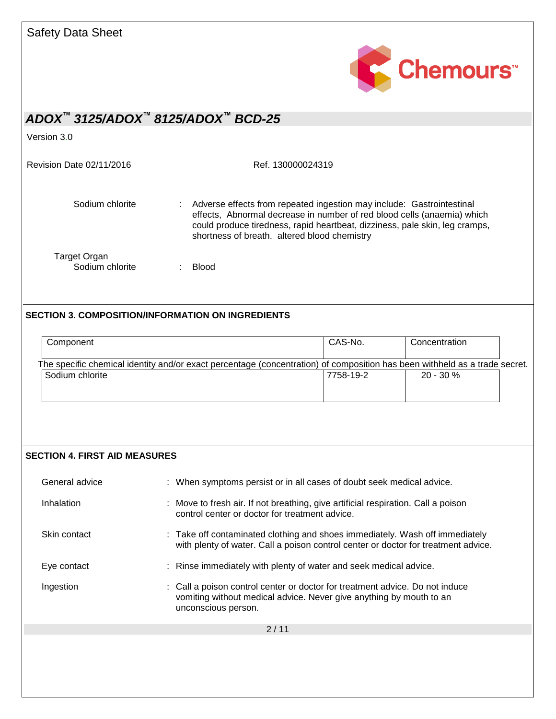

Version 3.0

Revision Date 02/11/2016 Ref. 130000024319

Sodium chlorite : Adverse effects from repeated ingestion may include: Gastrointestinal effects, Abnormal decrease in number of red blood cells (anaemia) which could produce tiredness, rapid heartbeat, dizziness, pale skin, leg cramps, shortness of breath. altered blood chemistry Target Organ

Sodium chlorite : Blood

### **SECTION 3. COMPOSITION/INFORMATION ON INGREDIENTS**

| Component                                                                                                                                     | CAS-No.   | Concentration |  |
|-----------------------------------------------------------------------------------------------------------------------------------------------|-----------|---------------|--|
| The specific chemical identity and/or exact percentage (concentration) of composition has been withheld as a trade secret.<br>Sodium chlorite | 7758-19-2 | $20 - 30 \%$  |  |
|                                                                                                                                               |           |               |  |

#### **SECTION 4. FIRST AID MEASURES**

| General advice | : When symptoms persist or in all cases of doubt seek medical advice.                                                                                                      |
|----------------|----------------------------------------------------------------------------------------------------------------------------------------------------------------------------|
| Inhalation     | : Move to fresh air. If not breathing, give artificial respiration. Call a poison<br>control center or doctor for treatment advice.                                        |
| Skin contact   | : Take off contaminated clothing and shoes immediately. Wash off immediately<br>with plenty of water. Call a poison control center or doctor for treatment advice.         |
| Eye contact    | : Rinse immediately with plenty of water and seek medical advice.                                                                                                          |
| Ingestion      | : Call a poison control center or doctor for treatment advice. Do not induce<br>vomiting without medical advice. Never give anything by mouth to an<br>unconscious person. |
|                | 2/11                                                                                                                                                                       |
|                |                                                                                                                                                                            |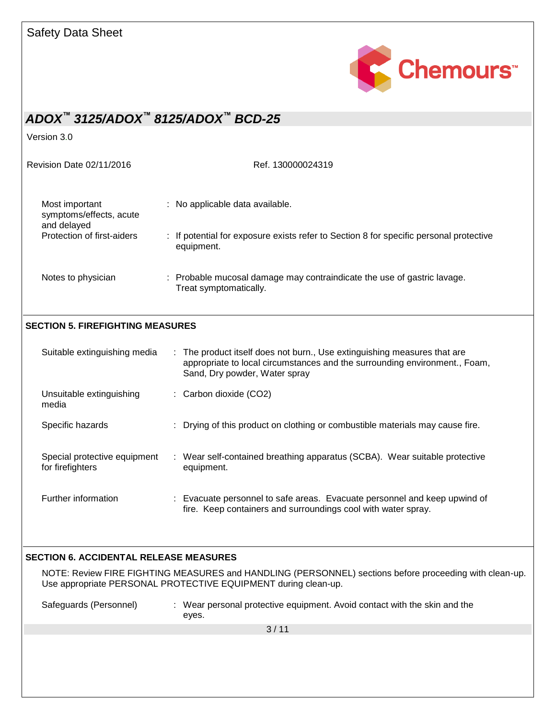

Version 3.0

| Revision Date 02/11/2016                                 | Ref. 130000024319                                                                                    |
|----------------------------------------------------------|------------------------------------------------------------------------------------------------------|
| Most important<br>symptoms/effects, acute<br>and delayed | : No applicable data available.                                                                      |
| Protection of first-aiders                               | : If potential for exposure exists refer to Section 8 for specific personal protective<br>equipment. |
| Notes to physician                                       | : Probable mucosal damage may contraindicate the use of gastric lavage.<br>Treat symptomatically.    |

### **SECTION 5. FIREFIGHTING MEASURES**

| Suitable extinguishing media                     | : The product itself does not burn., Use extinguishing measures that are<br>appropriate to local circumstances and the surrounding environment., Foam,<br>Sand, Dry powder, Water spray |
|--------------------------------------------------|-----------------------------------------------------------------------------------------------------------------------------------------------------------------------------------------|
| Unsuitable extinguishing<br>media                | $\therefore$ Carbon dioxide (CO2)                                                                                                                                                       |
| Specific hazards                                 | : Drying of this product on clothing or combustible materials may cause fire.                                                                                                           |
| Special protective equipment<br>for firefighters | : Wear self-contained breathing apparatus (SCBA). Wear suitable protective<br>equipment.                                                                                                |
| Further information                              | : Evacuate personnel to safe areas. Evacuate personnel and keep upwind of<br>fire. Keep containers and surroundings cool with water spray.                                              |

#### **SECTION 6. ACCIDENTAL RELEASE MEASURES**

NOTE: Review FIRE FIGHTING MEASURES and HANDLING (PERSONNEL) sections before proceeding with clean-up. Use appropriate PERSONAL PROTECTIVE EQUIPMENT during clean-up.

Safeguards (Personnel) : Wear personal protective equipment. Avoid contact with the skin and the eyes.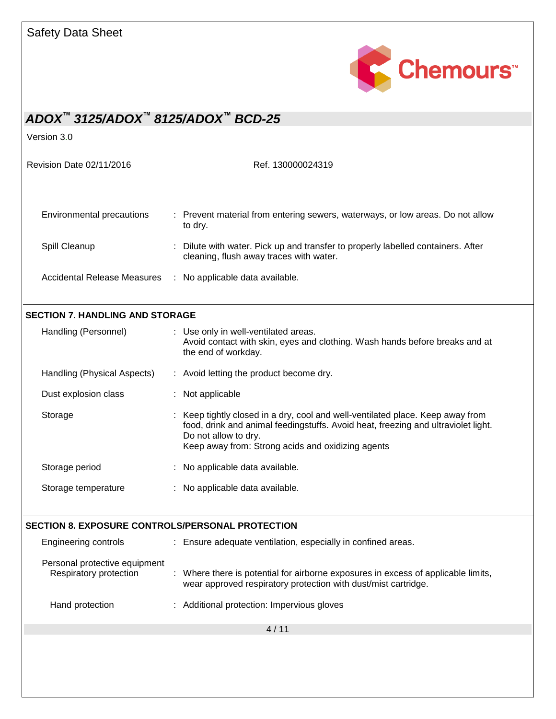

Version 3.0

Revision Date 02/11/2016 Ref. 130000024319

| Environmental precautions          | : Prevent material from entering sewers, waterways, or low areas. Do not allow<br>to dry.                                   |  |
|------------------------------------|-----------------------------------------------------------------------------------------------------------------------------|--|
| Spill Cleanup                      | : Dilute with water. Pick up and transfer to properly labelled containers. After<br>cleaning, flush away traces with water. |  |
| <b>Accidental Release Measures</b> | : No applicable data available.                                                                                             |  |

### **SECTION 7. HANDLING AND STORAGE**

| Handling (Personnel)        | : Use only in well-ventilated areas.<br>Avoid contact with skin, eyes and clothing. Wash hands before breaks and at<br>the end of workday.                                                                                                       |
|-----------------------------|--------------------------------------------------------------------------------------------------------------------------------------------------------------------------------------------------------------------------------------------------|
| Handling (Physical Aspects) | : Avoid letting the product become dry.                                                                                                                                                                                                          |
| Dust explosion class        | : Not applicable                                                                                                                                                                                                                                 |
| Storage                     | : Keep tightly closed in a dry, cool and well-ventilated place. Keep away from<br>food, drink and animal feedingstuffs. Avoid heat, freezing and ultraviolet light.<br>Do not allow to dry.<br>Keep away from: Strong acids and oxidizing agents |
| Storage period              | : No applicable data available.                                                                                                                                                                                                                  |
| Storage temperature         | : No applicable data available.                                                                                                                                                                                                                  |

#### **SECTION 8. EXPOSURE CONTROLS/PERSONAL PROTECTION**

| Engineering controls                                    | : Ensure adequate ventilation, especially in confined areas.                                                                                        |
|---------------------------------------------------------|-----------------------------------------------------------------------------------------------------------------------------------------------------|
| Personal protective equipment<br>Respiratory protection | : Where there is potential for airborne exposures in excess of applicable limits,<br>wear approved respiratory protection with dust/mist cartridge. |
| Hand protection                                         | : Additional protection: Impervious gloves                                                                                                          |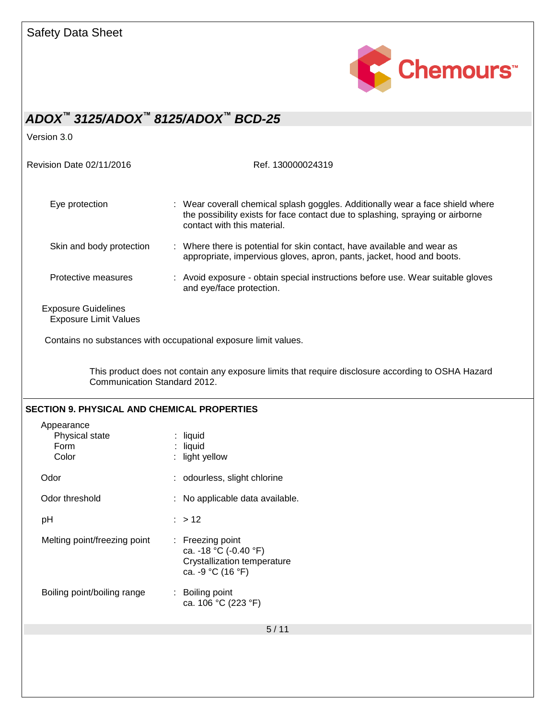

Version 3.0

Revision Date 02/11/2016 Ref. 130000024319

| Eye protection                                             | : Wear coverall chemical splash goggles. Additionally wear a face shield where<br>the possibility exists for face contact due to splashing, spraying or airborne<br>contact with this material. |
|------------------------------------------------------------|-------------------------------------------------------------------------------------------------------------------------------------------------------------------------------------------------|
| Skin and body protection                                   | : Where there is potential for skin contact, have available and wear as<br>appropriate, impervious gloves, apron, pants, jacket, hood and boots.                                                |
| Protective measures                                        | : Avoid exposure - obtain special instructions before use. Wear suitable gloves<br>and eye/face protection.                                                                                     |
| <b>Exposure Guidelines</b><br><b>Exposure Limit Values</b> |                                                                                                                                                                                                 |

Contains no substances with occupational exposure limit values.

This product does not contain any exposure limits that require disclosure according to OSHA Hazard Communication Standard 2012.

| <b>SECTION 9. PHYSICAL AND CHEMICAL PROPERTIES</b> |                                                                                                 |
|----------------------------------------------------|-------------------------------------------------------------------------------------------------|
| Appearance<br>Physical state<br>Form<br>Color      | liquid<br>: liquid<br>light yellow                                                              |
| Odor                                               | : odourless, slight chlorine                                                                    |
| Odor threshold                                     | : No applicable data available.                                                                 |
| рH                                                 | $:$ > 12                                                                                        |
| Melting point/freezing point                       | $:$ Freezing point<br>ca. -18 °C (-0.40 °F)<br>Crystallization temperature<br>ca. -9 °C (16 °F) |
| Boiling point/boiling range                        | : Boiling point<br>ca. 106 °C (223 °F)                                                          |
|                                                    | 5/11                                                                                            |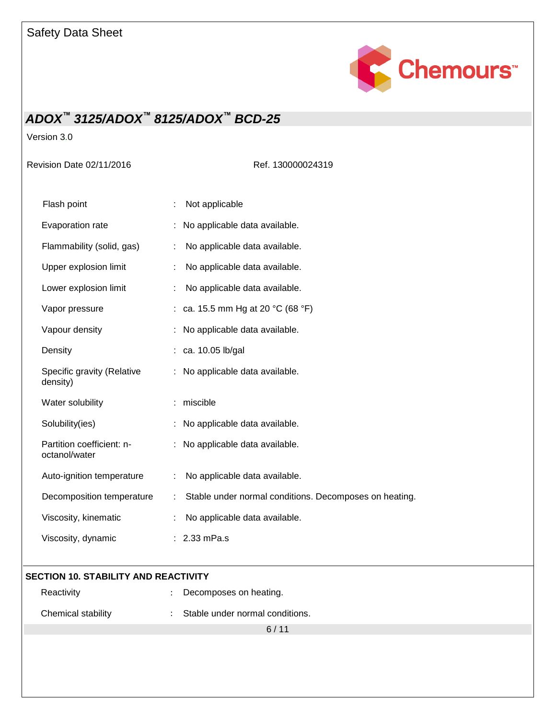

Version 3.0

Revision Date 02/11/2016 Ref. 130000024319

| Flash point                                | Not applicable                                         |  |
|--------------------------------------------|--------------------------------------------------------|--|
| Evaporation rate                           | No applicable data available.                          |  |
| Flammability (solid, gas)                  | No applicable data available.                          |  |
| Upper explosion limit                      | No applicable data available.                          |  |
| Lower explosion limit                      | No applicable data available.                          |  |
| Vapor pressure                             | ca. 15.5 mm Hg at 20 °C (68 °F)                        |  |
| Vapour density                             | No applicable data available.                          |  |
| Density                                    | ca. 10.05 lb/gal                                       |  |
| Specific gravity (Relative<br>density)     | No applicable data available.                          |  |
| Water solubility                           | miscible                                               |  |
| Solubility(ies)                            | No applicable data available.                          |  |
| Partition coefficient: n-<br>octanol/water | No applicable data available.                          |  |
| Auto-ignition temperature                  | No applicable data available.                          |  |
| Decomposition temperature                  | Stable under normal conditions. Decomposes on heating. |  |
| Viscosity, kinematic                       | No applicable data available.                          |  |
| Viscosity, dynamic                         | 2.33 mPa.s                                             |  |

### **SECTION 10. STABILITY AND REACTIVITY**

| Reactivity | : Decomposes on heating. |
|------------|--------------------------|
|            |                          |

| Chemical stability | Stable under normal conditions. |
|--------------------|---------------------------------|
|--------------------|---------------------------------|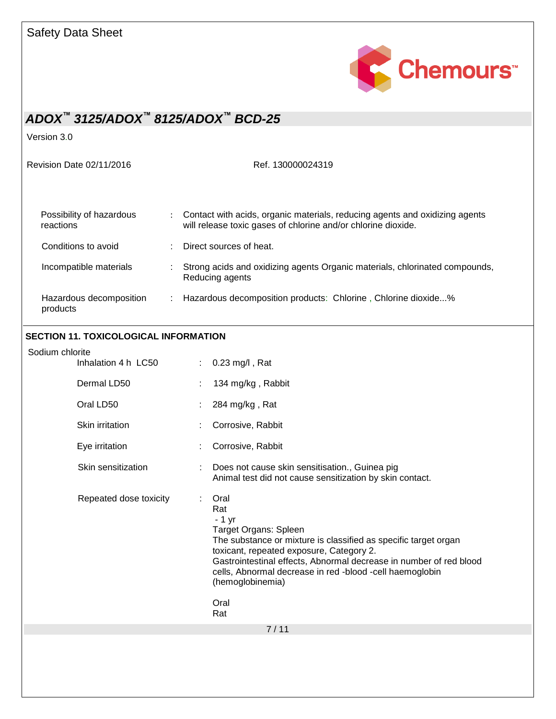

Version 3.0

Revision Date 02/11/2016 Ref. 130000024319

| Possibility of hazardous<br>reactions | Contact with acids, organic materials, reducing agents and oxidizing agents<br>will release toxic gases of chlorine and/or chlorine dioxide. |
|---------------------------------------|----------------------------------------------------------------------------------------------------------------------------------------------|
| Conditions to avoid                   | Direct sources of heat.                                                                                                                      |
| Incompatible materials                | Strong acids and oxidizing agents Organic materials, chlorinated compounds,<br>Reducing agents                                               |
| Hazardous decomposition<br>products   | Hazardous decomposition products: Chlorine, Chlorine dioxide%                                                                                |

### **SECTION 11. TOXICOLOGICAL INFORMATION**

| Sodium chlorite          |                                                                                                                                                                                                                                                                                                                                     |
|--------------------------|-------------------------------------------------------------------------------------------------------------------------------------------------------------------------------------------------------------------------------------------------------------------------------------------------------------------------------------|
| Inhalation 4 h LC50<br>÷ | $0.23$ mg/l, Rat                                                                                                                                                                                                                                                                                                                    |
| Dermal LD50              | 134 mg/kg, Rabbit                                                                                                                                                                                                                                                                                                                   |
| Oral LD50                | 284 mg/kg, Rat                                                                                                                                                                                                                                                                                                                      |
| Skin irritation          | Corrosive, Rabbit                                                                                                                                                                                                                                                                                                                   |
| Eye irritation           | Corrosive, Rabbit                                                                                                                                                                                                                                                                                                                   |
| Skin sensitization<br>t  | Does not cause skin sensitisation., Guinea pig<br>Animal test did not cause sensitization by skin contact.                                                                                                                                                                                                                          |
| Repeated dose toxicity   | Oral<br>Rat<br>$-1$ yr<br>Target Organs: Spleen<br>The substance or mixture is classified as specific target organ<br>toxicant, repeated exposure, Category 2.<br>Gastrointestinal effects, Abnormal decrease in number of red blood<br>cells, Abnormal decrease in red -blood -cell haemoglobin<br>(hemoglobinemia)<br>Oral<br>Rat |
|                          | 7/11                                                                                                                                                                                                                                                                                                                                |
|                          |                                                                                                                                                                                                                                                                                                                                     |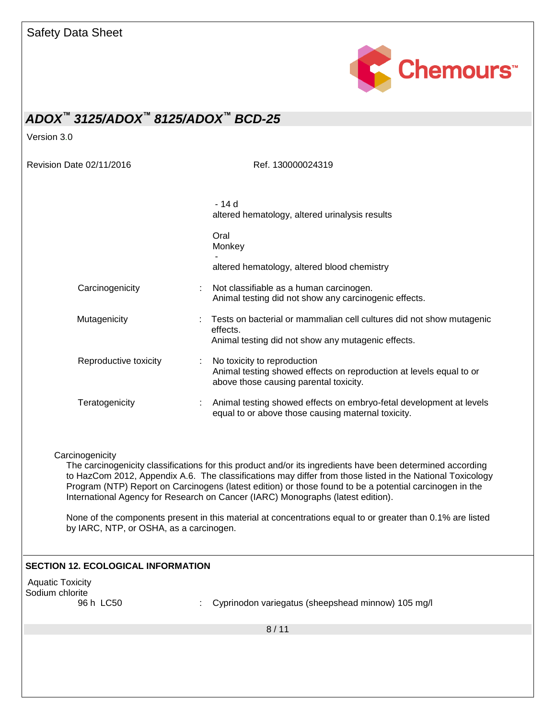

Version 3.0

Revision Date 02/11/2016 Ref. 130000024319

|                       | $-14d$<br>altered hematology, altered urinalysis results                                                                                                                                                                |
|-----------------------|-------------------------------------------------------------------------------------------------------------------------------------------------------------------------------------------------------------------------|
|                       |                                                                                                                                                                                                                         |
|                       | Oral<br>Monkey                                                                                                                                                                                                          |
|                       | altered hematology, altered blood chemistry                                                                                                                                                                             |
| Carcinogenicity       | Not classifiable as a human carcinogen.<br>Animal testing did not show any carcinogenic effects.                                                                                                                        |
| Mutagenicity          | Tests on bacterial or mammalian cell cultures did not show mutagenic<br>effects.                                                                                                                                        |
|                       | Animal testing did not show any mutagenic effects.                                                                                                                                                                      |
| Reproductive toxicity | No toxicity to reproduction<br>Animal testing showed effects on reproduction at levels equal to or<br>above those causing parental toxicity.                                                                            |
| Teratogenicity        | Animal testing showed effects on embryo-fetal development at levels<br>equal to or above those causing maternal toxicity.                                                                                               |
| Carcinogenicity       | The carcinogenicity classifications for this product and/or its ingredients have been determined according<br>to HazCom 2012, Appendix A.6. The classifications may differ from those listed in the National Toxicology |
|                       | Program (NTP) Report on Carcinogens (latest edition) or those found to be a potential carcinogen in the<br>International Agency for Research on Cancer (IARC) Monographs (latest edition).                              |

None of the components present in this material at concentrations equal to or greater than 0.1% are listed by IARC, NTP, or OSHA, as a carcinogen.

#### **SECTION 12. ECOLOGICAL INFORMATION**

Aquatic Toxicity Sodium chlorite<br>96 h LC50

: Cyprinodon variegatus (sheepshead minnow) 105 mg/l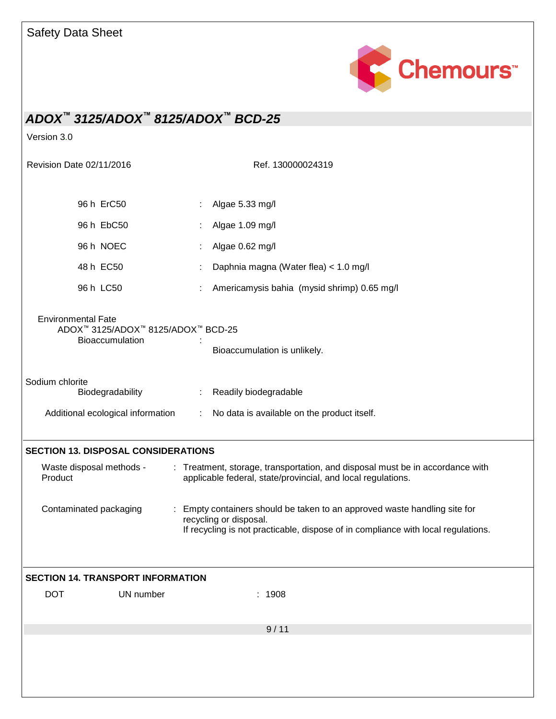

Version 3.0

| Revision Date 02/11/2016                                                           | Ref. 130000024319                                                                                                                                                                      |
|------------------------------------------------------------------------------------|----------------------------------------------------------------------------------------------------------------------------------------------------------------------------------------|
| 96 h ErC50                                                                         | Algae 5.33 mg/l                                                                                                                                                                        |
| 96 h EbC50                                                                         | Algae 1.09 mg/l                                                                                                                                                                        |
| 96 h NOEC                                                                          | Algae 0.62 mg/l                                                                                                                                                                        |
| 48 h EC50                                                                          | Daphnia magna (Water flea) < 1.0 mg/l                                                                                                                                                  |
| 96 h LC50                                                                          | Americamysis bahia (mysid shrimp) 0.65 mg/l                                                                                                                                            |
| <b>Environmental Fate</b><br>ADOX™ 3125/ADOX™ 8125/ADOX™ BCD-25<br>Bioaccumulation | Bioaccumulation is unlikely.                                                                                                                                                           |
| Sodium chlorite<br>Biodegradability<br>Additional ecological information           | Readily biodegradable<br>$\mathcal{L}_{\mathcal{A}}$<br>No data is available on the product itself.                                                                                    |
| <b>SECTION 13. DISPOSAL CONSIDERATIONS</b>                                         |                                                                                                                                                                                        |
| Waste disposal methods -<br>Product                                                | : Treatment, storage, transportation, and disposal must be in accordance with<br>applicable federal, state/provincial, and local regulations.                                          |
| Contaminated packaging                                                             | Empty containers should be taken to an approved waste handling site for<br>recycling or disposal.<br>If recycling is not practicable, dispose of in compliance with local regulations. |
| <b>SECTION 14. TRANSPORT INFORMATION</b>                                           |                                                                                                                                                                                        |
| <b>DOT</b><br>UN number                                                            | : 1908                                                                                                                                                                                 |
|                                                                                    | 9/11                                                                                                                                                                                   |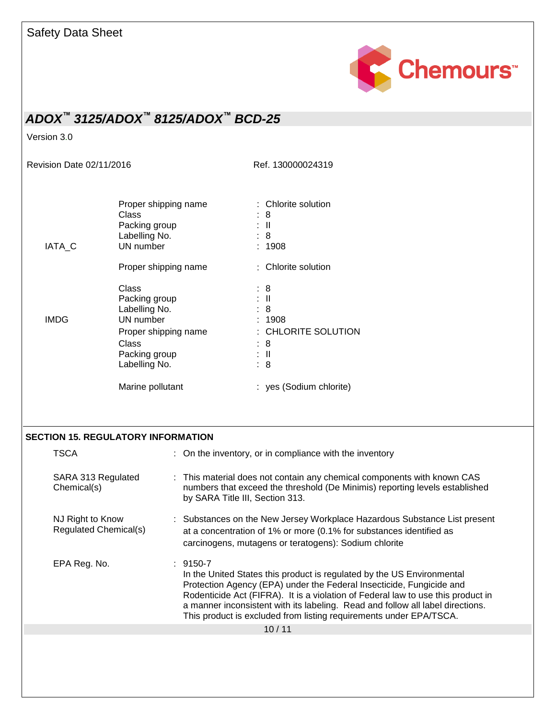

Version 3.0

Revision Date 02/11/2016 Ref. 130000024319

| Proper shipping name<br>Class<br>Packing group<br>Labelling No.<br><b>IATA C</b><br>UN number<br>Proper shipping name |                                                                                                                                |  |                                 | : Chlorite solution<br>: 8<br>: II<br>: 8<br>: 1908<br>: Chlorite solution                                                                                                                                |  |  |
|-----------------------------------------------------------------------------------------------------------------------|--------------------------------------------------------------------------------------------------------------------------------|--|---------------------------------|-----------------------------------------------------------------------------------------------------------------------------------------------------------------------------------------------------------|--|--|
| <b>IMDG</b>                                                                                                           | Class<br>Packing group<br>Labelling No.<br>UN number<br>Proper shipping name<br><b>Class</b><br>Packing group<br>Labelling No. |  |                                 | : 8<br>$\mathbb{R}^{\mathbb{N}}$<br>: 8<br>: 1908<br>: CHLORITE SOLUTION<br>: 8<br>$\mathbb{R}^{\mathbb{N}}$<br>: 8                                                                                       |  |  |
|                                                                                                                       | Marine pollutant                                                                                                               |  |                                 | : yes (Sodium chlorite)                                                                                                                                                                                   |  |  |
| <b>SECTION 15. REGULATORY INFORMATION</b>                                                                             |                                                                                                                                |  |                                 |                                                                                                                                                                                                           |  |  |
| <b>TSCA</b>                                                                                                           |                                                                                                                                |  |                                 | : On the inventory, or in compliance with the inventory                                                                                                                                                   |  |  |
| SARA 313 Regulated<br>Chemical(s)                                                                                     |                                                                                                                                |  | by SARA Title III, Section 313. | : This material does not contain any chemical components with known CAS<br>numbers that exceed the threshold (De Minimis) reporting levels established                                                    |  |  |
| NJ Right to Know<br>Regulated Chemical(s)                                                                             |                                                                                                                                |  |                                 | : Substances on the New Jersey Workplace Hazardous Substance List present<br>at a concentration of 1% or more (0.1% for substances identified as<br>carcinogens, mutagens or teratogens): Sodium chlorite |  |  |
| EPA Reg. No.                                                                                                          |                                                                                                                                |  | $: 9150 - 7$                    | la tha Llaite d'Ototes this musel· et is usau lote d'ou tha LIO. En demons sotal                                                                                                                          |  |  |

In the United States this product is regulated by the US Environmental Protection Agency (EPA) under the Federal Insecticide, Fungicide and Rodenticide Act (FIFRA). It is a violation of Federal law to use this product in a manner inconsistent with its labeling. Read and follow all label directions. This product is excluded from listing requirements under EPA/TSCA.